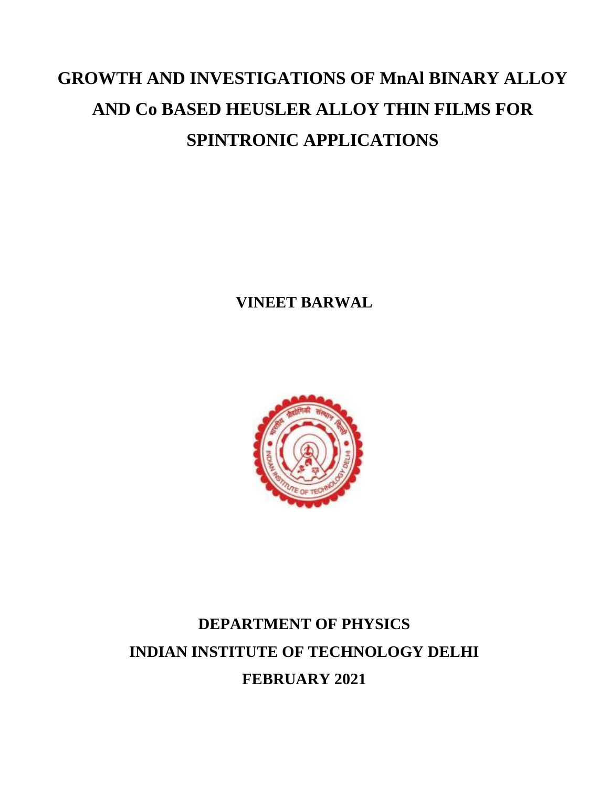# **GROWTH AND INVESTIGATIONS OF MnAl BINARY ALLOY AND Co BASED HEUSLER ALLOY THIN FILMS FOR SPINTRONIC APPLICATIONS**

**VINEET BARWAL**



# **DEPARTMENT OF PHYSICS INDIAN INSTITUTE OF TECHNOLOGY DELHI FEBRUARY 2021**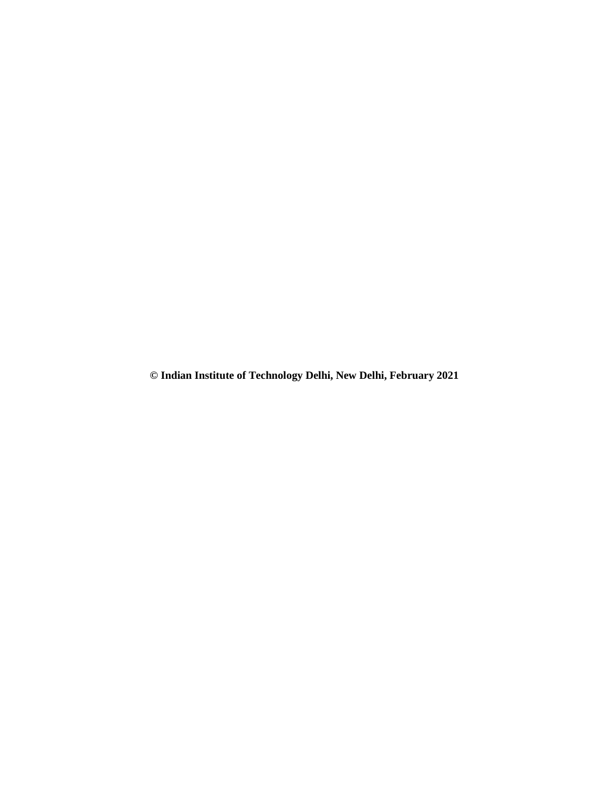**© Indian Institute of Technology Delhi, New Delhi, February 2021**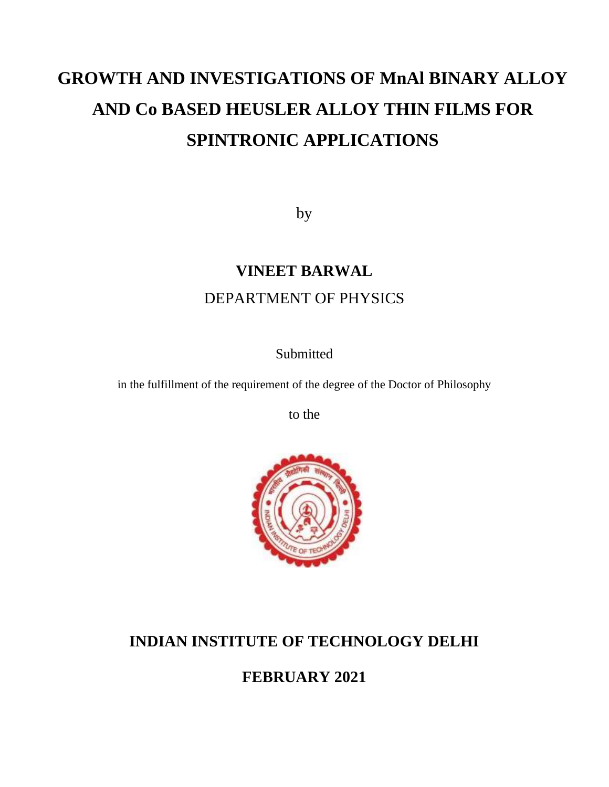# **GROWTH AND INVESTIGATIONS OF MnAl BINARY ALLOY AND Co BASED HEUSLER ALLOY THIN FILMS FOR SPINTRONIC APPLICATIONS**

by

# **VINEET BARWAL** DEPARTMENT OF PHYSICS

**Submitted** 

in the fulfillment of the requirement of the degree of the Doctor of Philosophy

to the



# **INDIAN INSTITUTE OF TECHNOLOGY DELHI**

**FEBRUARY 2021**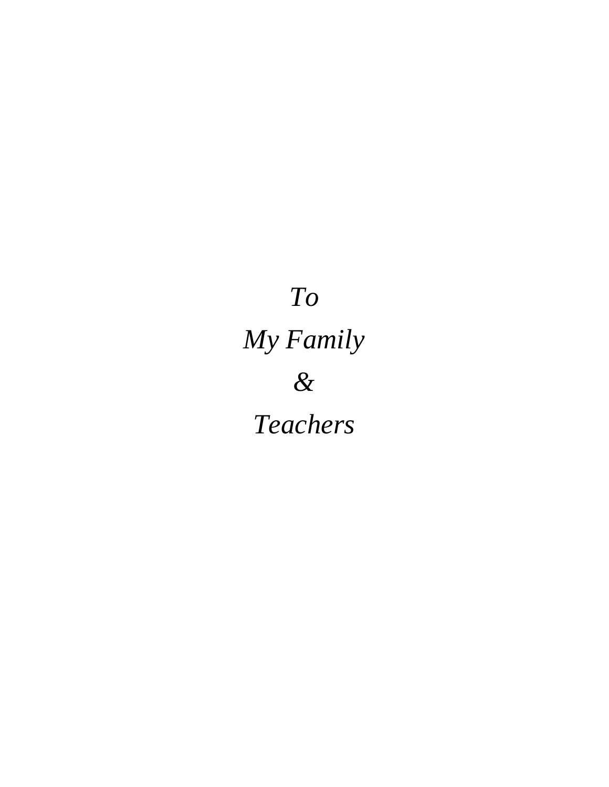# *To My Family & Teachers*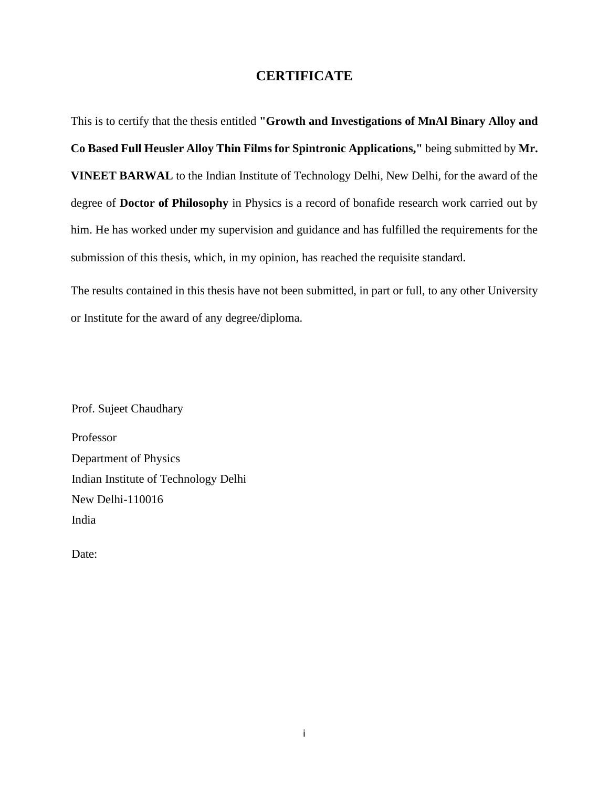### **CERTIFICATE**

This is to certify that the thesis entitled **"Growth and Investigations of MnAl Binary Alloy and Co Based Full Heusler Alloy Thin Films for Spintronic Applications,"** being submitted by **Mr. VINEET BARWAL** to the Indian Institute of Technology Delhi, New Delhi, for the award of the degree of **Doctor of Philosophy** in Physics is a record of bonafide research work carried out by him. He has worked under my supervision and guidance and has fulfilled the requirements for the submission of this thesis, which, in my opinion, has reached the requisite standard.

The results contained in this thesis have not been submitted, in part or full, to any other University or Institute for the award of any degree/diploma.

Prof. Sujeet Chaudhary

Professor Department of Physics Indian Institute of Technology Delhi New Delhi-110016 India

Date: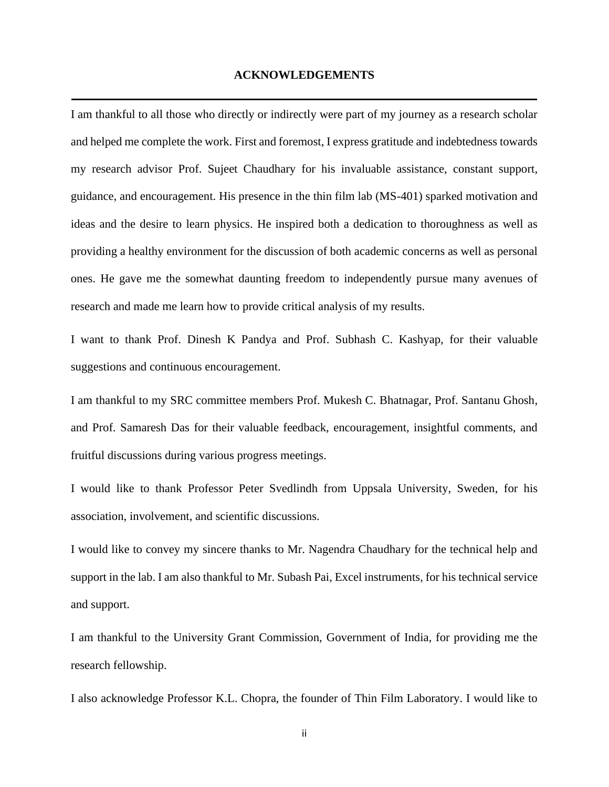#### **ACKNOWLEDGEMENTS**

I am thankful to all those who directly or indirectly were part of my journey as a research scholar and helped me complete the work. First and foremost, I express gratitude and indebtedness towards my research advisor Prof. Sujeet Chaudhary for his invaluable assistance, constant support, guidance, and encouragement. His presence in the thin film lab (MS-401) sparked motivation and ideas and the desire to learn physics. He inspired both a dedication to thoroughness as well as providing a healthy environment for the discussion of both academic concerns as well as personal ones. He gave me the somewhat daunting freedom to independently pursue many avenues of research and made me learn how to provide critical analysis of my results.

I want to thank Prof. Dinesh K Pandya and Prof. Subhash C. Kashyap, for their valuable suggestions and continuous encouragement.

I am thankful to my SRC committee members Prof. Mukesh C. Bhatnagar, Prof. Santanu Ghosh, and Prof. Samaresh Das for their valuable feedback, encouragement, insightful comments, and fruitful discussions during various progress meetings.

I would like to thank Professor Peter Svedlindh from Uppsala University, Sweden, for his association, involvement, and scientific discussions.

I would like to convey my sincere thanks to Mr. Nagendra Chaudhary for the technical help and support in the lab. I am also thankful to Mr. Subash Pai, Excel instruments, for his technical service and support.

I am thankful to the University Grant Commission, Government of India, for providing me the research fellowship.

I also acknowledge Professor K.L. Chopra, the founder of Thin Film Laboratory. I would like to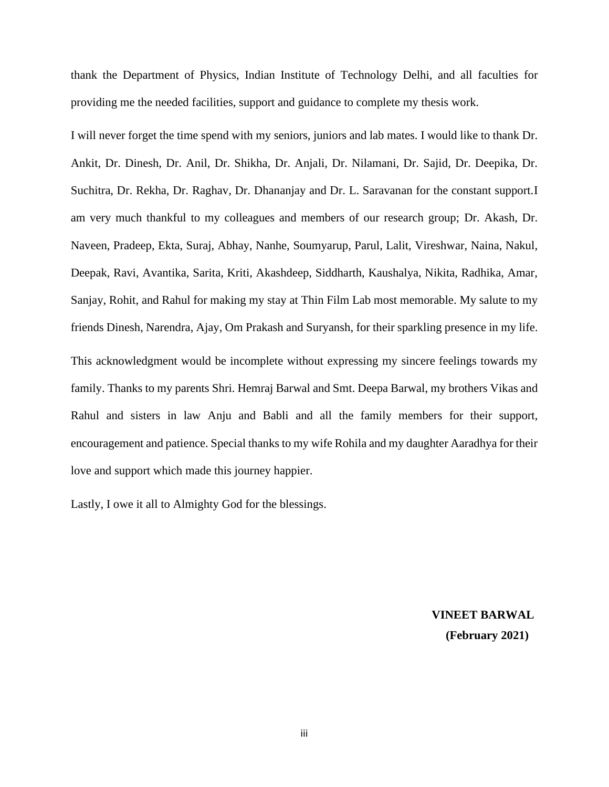thank the Department of Physics, Indian Institute of Technology Delhi, and all faculties for providing me the needed facilities, support and guidance to complete my thesis work.

I will never forget the time spend with my seniors, juniors and lab mates. I would like to thank Dr. Ankit, Dr. Dinesh, Dr. Anil, Dr. Shikha, Dr. Anjali, Dr. Nilamani, Dr. Sajid, Dr. Deepika, Dr. Suchitra, Dr. Rekha, Dr. Raghav, Dr. Dhananjay and Dr. L. Saravanan for the constant support.I am very much thankful to my colleagues and members of our research group; Dr. Akash, Dr. Naveen, Pradeep, Ekta, Suraj, Abhay, Nanhe, Soumyarup, Parul, Lalit, Vireshwar, Naina, Nakul, Deepak, Ravi, Avantika, Sarita, Kriti, Akashdeep, Siddharth, Kaushalya, Nikita, Radhika, Amar, Sanjay, Rohit, and Rahul for making my stay at Thin Film Lab most memorable. My salute to my friends Dinesh, Narendra, Ajay, Om Prakash and Suryansh, for their sparkling presence in my life. This acknowledgment would be incomplete without expressing my sincere feelings towards my family. Thanks to my parents Shri. Hemraj Barwal and Smt. Deepa Barwal, my brothers Vikas and Rahul and sisters in law Anju and Babli and all the family members for their support, encouragement and patience. Special thanks to my wife Rohila and my daughter Aaradhya for their love and support which made this journey happier.

Lastly, I owe it all to Almighty God for the blessings.

**VINEET BARWAL (February 2021)**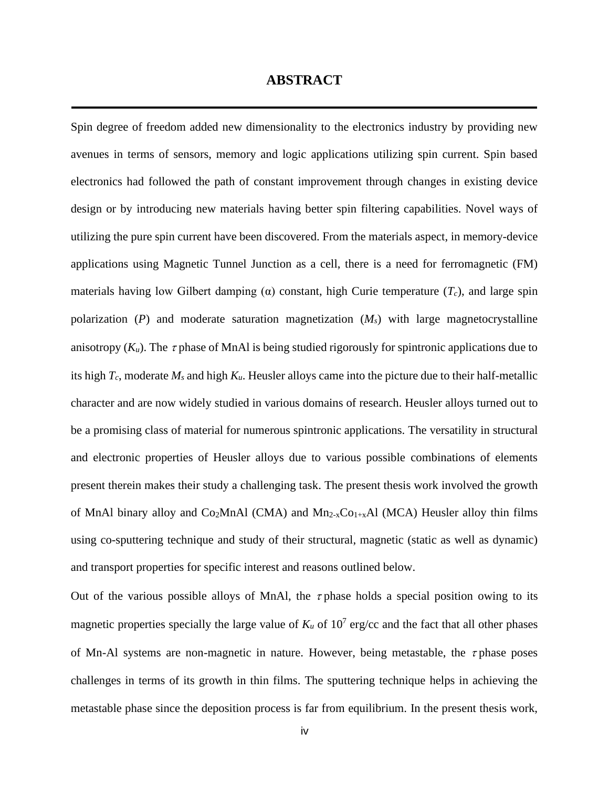#### **ABSTRACT**

Spin degree of freedom added new dimensionality to the electronics industry by providing new avenues in terms of sensors, memory and logic applications utilizing spin current. Spin based electronics had followed the path of constant improvement through changes in existing device design or by introducing new materials having better spin filtering capabilities. Novel ways of utilizing the pure spin current have been discovered. From the materials aspect, in memory-device applications using Magnetic Tunnel Junction as a cell, there is a need for ferromagnetic (FM) materials having low Gilbert damping (α) constant, high Curie temperature (*Tc*), and large spin polarization (*P*) and moderate saturation magnetization (*Ms*) with large magnetocrystalline anisotropy  $(K_u)$ . The  $\tau$  phase of MnAl is being studied rigorously for spintronic applications due to its high *Tc*, moderate *M<sup>s</sup>* and high *Ku*. Heusler alloys came into the picture due to their half-metallic character and are now widely studied in various domains of research. Heusler alloys turned out to be a promising class of material for numerous spintronic applications. The versatility in structural and electronic properties of Heusler alloys due to various possible combinations of elements present therein makes their study a challenging task. The present thesis work involved the growth of MnAl binary alloy and Co<sub>2</sub>MnAl (CMA) and Mn<sub>2-x</sub>Co<sub>1+x</sub>Al (MCA) Heusler alloy thin films using co-sputtering technique and study of their structural, magnetic (static as well as dynamic) and transport properties for specific interest and reasons outlined below.

Out of the various possible alloys of MnAl, the  $\tau$  phase holds a special position owing to its magnetic properties specially the large value of  $K_u$  of  $10^7$  erg/cc and the fact that all other phases of Mn-Al systems are non-magnetic in nature. However, being metastable, the  $\tau$  phase poses challenges in terms of its growth in thin films. The sputtering technique helps in achieving the metastable phase since the deposition process is far from equilibrium. In the present thesis work,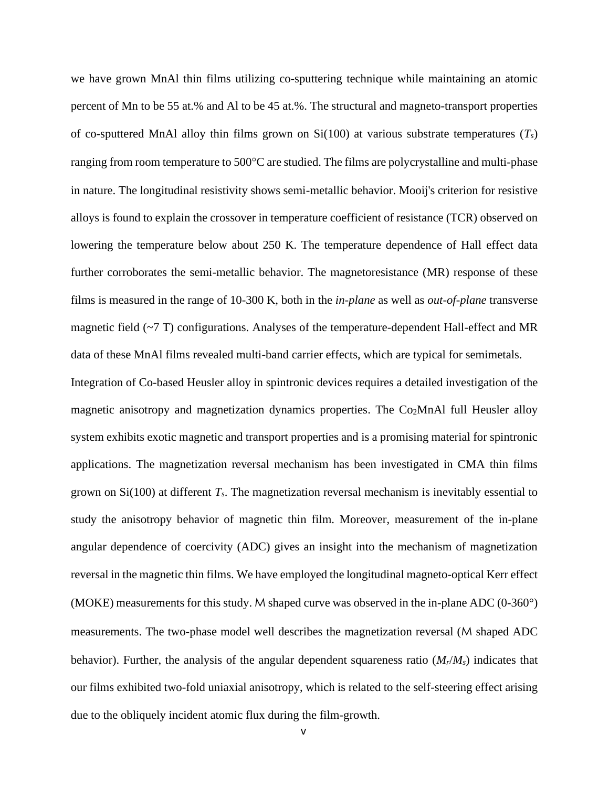we have grown MnAl thin films utilizing co-sputtering technique while maintaining an atomic percent of Mn to be 55 at.% and Al to be 45 at.%. The structural and magneto-transport properties of co-sputtered MnAl alloy thin films grown on Si(100) at various substrate temperatures (*Ts*) ranging from room temperature to  $500^{\circ}$ C are studied. The films are polycrystalline and multi-phase in nature. The longitudinal resistivity shows semi-metallic behavior. Mooij's criterion for resistive alloys is found to explain the crossover in temperature coefficient of resistance (TCR) observed on lowering the temperature below about 250 K. The temperature dependence of Hall effect data further corroborates the semi-metallic behavior. The magnetoresistance (MR) response of these films is measured in the range of 10-300 K, both in the *in-plane* as well as *out-of-plane* transverse magnetic field (~7 T) configurations. Analyses of the temperature-dependent Hall-effect and MR data of these MnAl films revealed multi-band carrier effects, which are typical for semimetals.

Integration of Co-based Heusler alloy in spintronic devices requires a detailed investigation of the magnetic anisotropy and magnetization dynamics properties. The Co<sub>2</sub>MnAl full Heusler alloy system exhibits exotic magnetic and transport properties and is a promising material for spintronic applications. The magnetization reversal mechanism has been investigated in CMA thin films grown on Si(100) at different *Ts*. The magnetization reversal mechanism is inevitably essential to study the anisotropy behavior of magnetic thin film. Moreover, measurement of the in-plane angular dependence of coercivity (ADC) gives an insight into the mechanism of magnetization reversal in the magnetic thin films. We have employed the longitudinal magneto-optical Kerr effect (MOKE) measurements for this study. M shaped curve was observed in the in-plane ADC (0-360°) measurements. The two-phase model well describes the magnetization reversal (M shaped ADC behavior). Further, the analysis of the angular dependent squareness ratio  $(M_r/M_s)$  indicates that our films exhibited two-fold uniaxial anisotropy, which is related to the self-steering effect arising due to the obliquely incident atomic flux during the film-growth.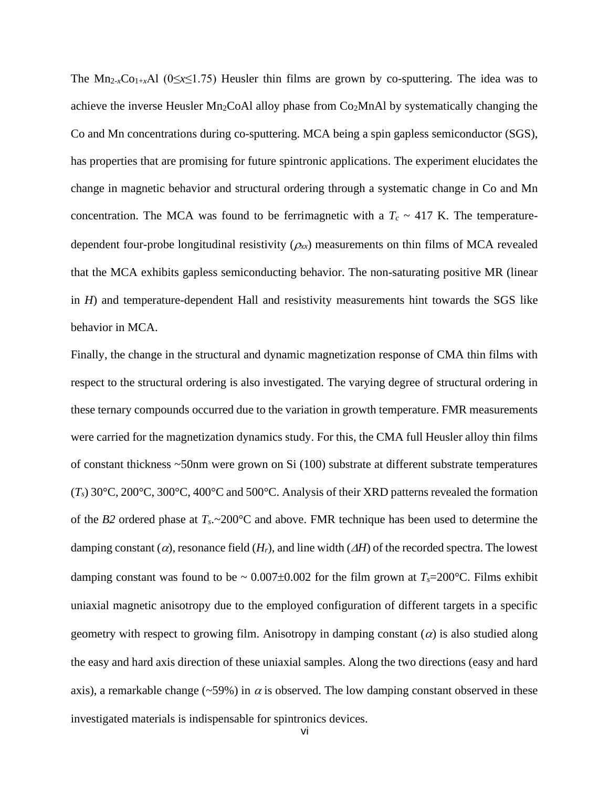The Mn<sub>2-*x*</sub>Co<sub>1+*x*</sub>Al (0≤*x*≤1.75) Heusler thin films are grown by co-sputtering. The idea was to achieve the inverse Heusler  $Mn<sub>2</sub>CoAl$  alloy phase from  $Co<sub>2</sub>MnAl$  by systematically changing the Co and Mn concentrations during co-sputtering. MCA being a spin gapless semiconductor (SGS), has properties that are promising for future spintronic applications. The experiment elucidates the change in magnetic behavior and structural ordering through a systematic change in Co and Mn concentration. The MCA was found to be ferrimagnetic with a  $T_c \sim 417$  K. The temperaturedependent four-probe longitudinal resistivity  $(\rho_{xx})$  measurements on thin films of MCA revealed that the MCA exhibits gapless semiconducting behavior. The non-saturating positive MR (linear in *H*) and temperature-dependent Hall and resistivity measurements hint towards the SGS like behavior in MCA.

Finally, the change in the structural and dynamic magnetization response of CMA thin films with respect to the structural ordering is also investigated. The varying degree of structural ordering in these ternary compounds occurred due to the variation in growth temperature. FMR measurements were carried for the magnetization dynamics study. For this, the CMA full Heusler alloy thin films of constant thickness ~50nm were grown on Si (100) substrate at different substrate temperatures  $(T_s)$  30°C, 200°C, 300°C, 400°C and 500°C. Analysis of their XRD patterns revealed the formation of the *B2* ordered phase at *Ts*.~200°C and above. FMR technique has been used to determine the damping constant ( $\alpha$ ), resonance field ( $H_r$ ), and line width ( $\Delta H$ ) of the recorded spectra. The lowest damping constant was found to be  $\sim 0.007 \pm 0.002$  for the film grown at  $T_s = 200$ °C. Films exhibit uniaxial magnetic anisotropy due to the employed configuration of different targets in a specific geometry with respect to growing film. Anisotropy in damping constant  $(a)$  is also studied along the easy and hard axis direction of these uniaxial samples. Along the two directions (easy and hard axis), a remarkable change (~59%) in  $\alpha$  is observed. The low damping constant observed in these investigated materials is indispensable for spintronics devices.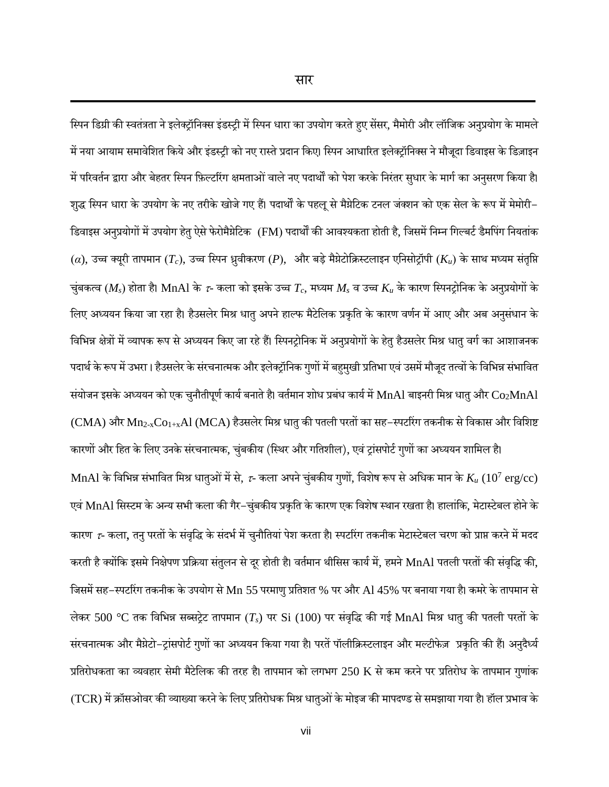स्पिन डिग्री की स्वतंत्रता ने इलेक्ट्रॉनिक्स इंडस्ट्री में स्पिन धारा का उपयोग करते हुए सेंसर, मैमोरी और लॉजिक अनुप्रयोग के मामले में नया आयाम समावेशित किये और इंडस्ट्री को नए रास्ते प्रदान किए। स्पिन आधारित इलेक्ट्रॉनिक्स ने मौजूदा डिवाइस के डिज़ाइन में परिवर्तन द्वारा और बेहतर स्पिन फ़िल्टरिंग क्षमताओं वाले नए पदार्थों को पेश करके निरंतर सुधार के मार्ग का अनुसरण किया है। शुद्ध स्पिन धारा के उपयोग के नए तरीके खोजे गए हैं। पदार्थों के पहलू से मैयेटिक टनल जंक्शन को एक सेल के रूप में मेमोरी– डिवाइस अनुप्रयोगों में उपयोग हेतु ऐसे फेरोमैयेटिक (FM) पदार्थों की आवश्यकता होती है, जिसमें निम्न गिल्बर्ट डैमपिंग नियतांक  $(\alpha)$ , उच्च क्यूरी तापमान ( $T_c$ ), उच्च स्पिन ध्रुवीकरण (P), और बड़े मैग्नेटोक्रिस्टलाइन एनिसोट्रॉपी ( $K_u$ ) के साथ मध्यम संतृप्ति चुंबकत्व ( $M_s$ ) होता है। MnAl के  $\tau$ - कला को इसके उच्च  $T_c$ , मध्यम  $M_s$  व उच्च  $K_u$  के कारण स्पिनट्रोनिक के अनुप्रयोगों के लिए अध्ययन किया जा रहा है। हैउसलेर मिश्र धातु अपने हाल्फ मैटेलिक प्रकृति के कारण वर्णन में आए और अब अनुसंधान के विभिन्न क्षेत्रों में व्यापक रूप से अध्ययन किए जा रहे हैं। स्पिनट्रोनिक में अनुप्रयोगों के हेतु हैउसलेर मिश्र धातु वर्ग का आशाजनक पदार्थ के रूप में उभरा। हैउसलेर के संरचनात्मक और इलेक्ट्रॉनिक गुणों में बहुमुखी प्रतिभा एवं उसमें मौजूद तत्वों के विभिन्न संभावित संयोजन इसके अध्ययन को एक चुनौतीपूर्ण कार्य बनाते है। वर्तमान शोध प्रबंध कार्य में MnAl बाइनरी मिश्र धातु और  $\rm Co_2MnAl$  $(CMA)$  और  $Mn_{2-x}Co_{1+x}Al$   $(MCA)$  हैउसलेर मिश्र धातु की पतली परतों का सह–स्पर्टारंग तकनीक से विकास और विशिष्ट

कारणों और हित के लिए उनके संरचनात्मक, चुंबकीय (स्थिर और गतिशील), एवं ट्रांसपोर्ट गुणों का अध्ययन शामिल है।  $\rm MnAl$  के विभिन्न संभावित मिश्र धातुओं में से, *τ*- कला अपने चुंबकीय गुणों, विशेष रूप से अधिक मान के  $K_u$   $(10^7~\rm erg/cc)$ एवं MnAl सिस्टम के अन्य सभी कला की गैर-चुंबकीय प्रकृति के कारण एक विशेष स्थान रखता है। हालांकि, मेटास्टेबल होने के कारण  $\tau$ - कला, तनु परतों के संवृद्धि के संदर्भ में चुनौतियां पेश करता है। स्पटरिंग तकनीक मेटास्टेबल चरण को प्राप्त करने में मदद करती है क्योंकि इसमे निक्षेपण प्रक्रिया संतुलन से दूर होती है। वर्तमान थीसिस कार्य में, हमने MnAl पतली परतों की संवृद्धि की, जिसमें सह–स्पर्टारंग तकनीक के उपयोग से Mn 55 परमाणु प्रतिशत % पर और Al 45% पर बनाया गया है। कमरे के तापमान से लेकर 500 °C तक विभिन्न सब्सट्रेट तापमान (Ts) पर Si (100) पर संवृद्धि की गई MnAl मिश्र धातु की पतली परतों के संरचनात्मक और मैग्नेटो-ट्रांसपोर्ट गुणों का अध्ययन किया गया है। परतें पॉलीक्रिस्टलाइन और मल्टीफेज़ प्रकृति की हैं। अनुदैर्ध्य प्रतिरोधकता का व्यवहार सेमी मैटेलिक की तरह है। तापमान को लगभग 250 K से कम करने पर प्रतिरोध के तापमान गुणांक (TCR) में क्रॉसओवर की व्याख्या करने के लिए प्रतिरोधक मिश्र धातुओं के मोइज की मापदण्ड से समझाया गया है। हॉल प्रभाव के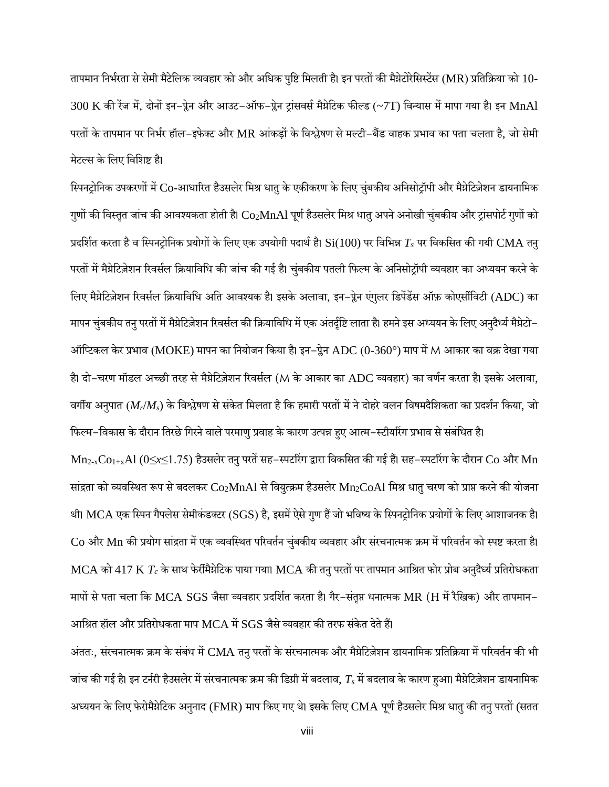तापमान निर्भरता से सेमी मैटेलिक व्यवहार को और अधिक पुष्टि मिलती है। इन परतों की मैग्नेटोरेसिस्टेंस (MR) प्रतिक्रिया को 10- $300$  K की रेंज में, दोनों इन–प्लेन और आउट–ऑफ–प्लेन ट्रांसवर्स मैयेटिक फील्ड (~7T) विन्यास में मापा गया है। इन MnAl परतों के तापमान पर निर्भर हॉल-इफेक्ट और MR आंकड़ों के विश्लेषण से मल्टी-बैंड वाहक प्रभाव का पता चलता है, जो सेमी मेटल्स के स्लए स्वस्िष्ट है।

स्पिनट्रोनिक उपकरणों में Co-आधारित हैउसलेर मिश्र धातु के एकीकरण के लिए चुंबकीय अनिसोट्रॉपी और मैग्नेटिज़ेशन डायनामिक गुणों की विस्तृत जांच की आवश्यकता होती है।  $\rm Co_2MnAl$  पूर्ण हैउसलेर मिश्र धातु अपने अनोखी चुंबकीय और ट्रांसपोर्ट गुणों को प्रदर्शित करता है व स्पिनट्रोनिक प्रयोगों के लिए एक उपयोगी पदार्थ है। Si(100) पर विभिन्न  $T_s$  पर विकसित की गयी CMA तन् परतों में मैग्नेटिज़ेशन रिवर्सल क्रियाविधि की जांच की गई है। चुंबकीय पतली फिल्म के अनिसोट्रॉपी व्यवहार का अध्ययन करने के लिए मैग्नेटिज़ेशन रिवर्सल क्रियाविधि अति आवश्यक है। इसके अलावा, इन–प्रेन एंगुलर डिपेंडेंस ऑफ़ कोएसींविटी (ADC) का मापन चुंबकीय तनु परतों में मैग्नेटिजेशन रिवर्सल की क्रियाविधि में एक अंतर्दृष्टि लाता है। हमने इस अध्ययन के लिए अनुदैर्ध्य मैग्नेटो– ऑप्टिकल केर प्रभाव (MOKE) मापन का नियोजन किया है। इन–प्रेन ADC (0-360°) माप में M आकार का वक्र देखा गया है। दो–चरण मॉडल अच्छी तरह से मैग्नेटिज़ेशन रिवर्सल (M के आकार का ADC व्यवहार) का वर्णन करता है। इसके अलावा, वर्गीय अनुपात (M<sub>r</sub>/M<sub>s</sub>) के विश्लेषण से संकेत मिलता है कि हमारी परतों में ने दोहरे वलन विषमदैशिकता का प्रदर्शन किया, जो

फिल्म–विकास के दौरान तिरछे गिरने वाले परमाणु प्रवाह के कारण उत्पन्न हुए आत्म–स्टीयरिंग प्रभाव से संबंधित है।  $Mn_{2-x}Co_{1+x}Al$  (0≤x≤1.75) हैउसलेर तनु परतें सह−स्पर्टारंग द्वारा विकसित की गई हैं। सह−स्पर्टारंग के दौरान Co और Mn सांद्रता को व्यवस्थित रूप से बदलकर Co2MnAl से वियुत्क्रम हैउसलेर Mn2CoAl मिश्र धातु चरण को प्राप्त करने की योजना थी। MCA एक स्पिन गैपलेस सेमीकंडक्टर (SGS) है, इसमें ऐसे गुण हैं जो भविष्य के स्पिनट्रोनिक प्रयोगों के लिए आशाजनक है।  $Co$  और  $Mn$  की प्रयोग सांद्रता में एक व्यवस्थित परिवर्तन चुंबकीय व्यवहार और संरचनात्मक क्रम में परिवर्तन को स्पष्ट करता है। MCA को 417 K  $T_c$  के साथ फेरीमैग्नेटिक पाया गया। MCA की तनु परतों पर तापमान आश्रित फोर प्रोब अनुदैर्ध्य प्रतिरोधकता मापों से पता चला कि MCA SGS जैसा व्यवहार प्रदर्शित करता है। गैर-संतृप्त धनात्मक MR (H में रैखिक) और तापमान– आश्रित हॉल और प्रतिरोधकता माप MCA में  $SGS$  जैसे व्यवहार की तरफ संकेत देते हैं।

अंततः, संरचनात्मक क्रम के संबंध में CMA तनु परतों के संरचनात्मक और मैग्नेटिज़ेशन डायनामिक प्रतिक्रिया में परिवर्तन की भी जांच की गई है। इन टर्नरी हैउसलेर में संरचनात्मक क्रम की डिग्री में बदलाव,  $T_s$  में बदलाव के कारण हुआ। मैग्नेटिज़ेशन डायनामिक अध्ययन के लिए फेरोमैग्नेटिक अनुनाद (FMR) माप किए गए थे। इसके लिए CMA पूर्ण हैउसलेर मिश्र धातु की तनु परतों (सतत

viii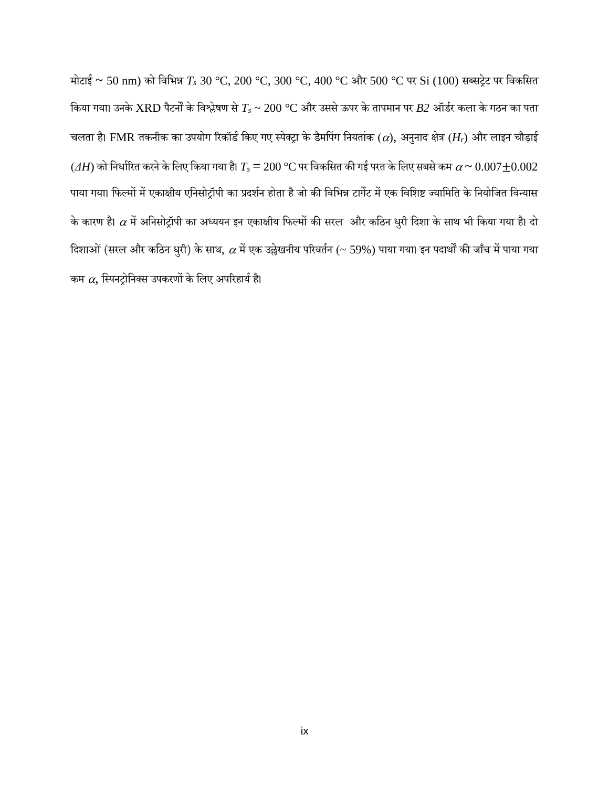मोटाई ~ 50 nm) को विभिन्न  $T_s$  30 °C, 200 °C, 300 °C, 400 °C और 500 °C पर Si (100) सब्सट्रेट पर विकसित किया गया। उनके  ${\rm XRD}$  पैटर्नों के विश्लेषण से  $T_s$  ~ 200 °C और उससे ऊपर के तापमान पर  $B2$  ऑर्डर कला के गठन का पता चलता है। FMR तकनीक का उपयोग रिकॉर्ड किए गए स्पेक्ट्रा के डैमपिंग नियतांक ( $\alpha$ ), अनुनाद क्षेत्र ( $H_r$ ) और लाइन चौड़ाई  $(AH)$  को निर्धारित करने के लिए किया गया है।  $T_s = 200\,^{\circ}\text{C}$  पर विकसित की गई परत के लिए सबसे कम  $\alpha \thicksim 0.007 \pm 0.002$ पाया गया। फिल्मों में एकाक्षीय एनिसोट्रॉपी का प्रदर्शन होता है जो की विभिन्न टार्गेट में एक विशिष्ट ज्यामिति के नियोजित विन्यास के कारण है।  $\alpha$  में अनिसोट्रॉपी का अध्ययन इन एकाक्षीय फिल्मों की सरल और कठिन धुरी दिशा के साथ भी किया गया है। दो दिशाओं (सरल और कठिन धुरी) के साथ,  $\alpha$  में एक उल्लेखनीय परिवर्तन (~ 59%) पाया गया। इन पदार्थों की जाँच में पाया गया कम  $\alpha$ , स्पिनट्रोनिक्स उपकरणों के लिए अपरिहार्य है।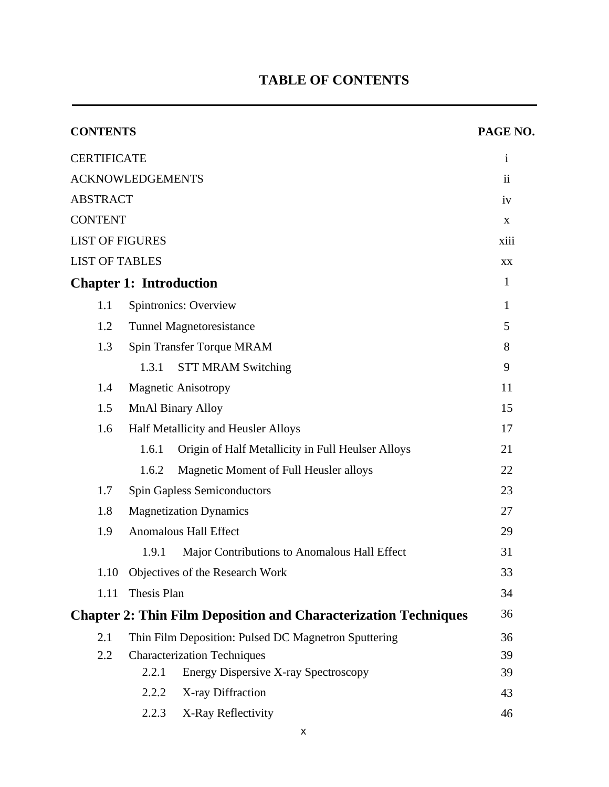# **TABLE OF CONTENTS**

| <b>CONTENTS</b>         |                                                                        | PAGE NO.            |  |
|-------------------------|------------------------------------------------------------------------|---------------------|--|
| <b>CERTIFICATE</b>      |                                                                        | $\mathbf{i}$        |  |
| <b>ACKNOWLEDGEMENTS</b> |                                                                        | $\ddot{\mathbf{i}}$ |  |
| <b>ABSTRACT</b>         |                                                                        | iv                  |  |
| <b>CONTENT</b>          |                                                                        | X                   |  |
| <b>LIST OF FIGURES</b>  |                                                                        | xiii                |  |
| <b>LIST OF TABLES</b>   |                                                                        | XX                  |  |
|                         | <b>Chapter 1: Introduction</b>                                         | $\mathbf{1}$        |  |
| 1.1                     | Spintronics: Overview                                                  | $\mathbf{1}$        |  |
| 1.2                     | <b>Tunnel Magnetoresistance</b>                                        | 5                   |  |
| 1.3                     | Spin Transfer Torque MRAM                                              | 8                   |  |
|                         | 1.3.1<br><b>STT MRAM Switching</b>                                     | 9                   |  |
| 1.4                     | <b>Magnetic Anisotropy</b>                                             | 11                  |  |
| 1.5                     | <b>MnAl Binary Alloy</b>                                               | 15                  |  |
| 1.6                     | Half Metallicity and Heusler Alloys                                    | 17                  |  |
|                         | 1.6.1<br>Origin of Half Metallicity in Full Heulser Alloys             | 21                  |  |
|                         | Magnetic Moment of Full Heusler alloys<br>1.6.2                        | 22                  |  |
| 1.7                     | <b>Spin Gapless Semiconductors</b>                                     | 23                  |  |
| 1.8                     | <b>Magnetization Dynamics</b>                                          |                     |  |
| 1.9                     | <b>Anomalous Hall Effect</b>                                           | 29                  |  |
|                         | 1.9.1<br>Major Contributions to Anomalous Hall Effect                  | 31                  |  |
| 1.10                    | Objectives of the Research Work                                        | 33                  |  |
| 1.11                    | Thesis Plan                                                            | 34                  |  |
|                         | <b>Chapter 2: Thin Film Deposition and Characterization Techniques</b> | 36                  |  |
| 2.1                     | Thin Film Deposition: Pulsed DC Magnetron Sputtering                   | 36                  |  |
| 2.2                     | <b>Characterization Techniques</b>                                     | 39                  |  |
|                         | 2.2.1<br><b>Energy Dispersive X-ray Spectroscopy</b>                   | 39                  |  |
|                         | 2.2.2<br>X-ray Diffraction                                             | 43                  |  |
|                         | 2.2.3<br>X-Ray Reflectivity                                            | 46                  |  |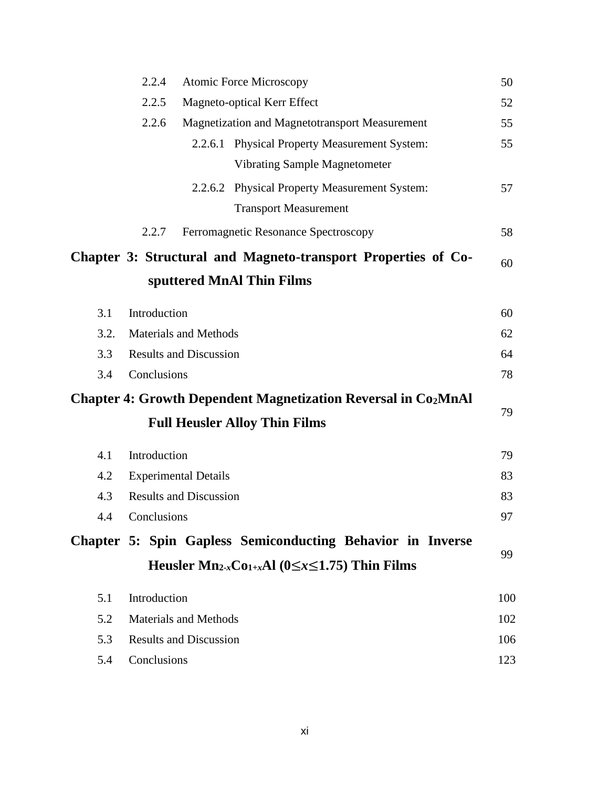|      | 2.2.4        |                               | <b>Atomic Force Microscopy</b>                                                  | 50  |
|------|--------------|-------------------------------|---------------------------------------------------------------------------------|-----|
|      | 2.2.5        |                               | Magneto-optical Kerr Effect                                                     | 52  |
|      | 2.2.6        |                               | Magnetization and Magnetotransport Measurement                                  | 55  |
|      |              |                               | 2.2.6.1 Physical Property Measurement System:                                   | 55  |
|      |              |                               | <b>Vibrating Sample Magnetometer</b>                                            |     |
|      |              |                               | 2.2.6.2 Physical Property Measurement System:                                   | 57  |
|      |              |                               | <b>Transport Measurement</b>                                                    |     |
|      | 2.2.7        |                               | Ferromagnetic Resonance Spectroscopy                                            | 58  |
|      |              |                               | Chapter 3: Structural and Magneto-transport Properties of Co-                   | 60  |
|      |              |                               | sputtered MnAl Thin Films                                                       |     |
| 3.1  | Introduction |                               |                                                                                 | 60  |
| 3.2. |              | <b>Materials and Methods</b>  |                                                                                 | 62  |
| 3.3  |              | <b>Results and Discussion</b> |                                                                                 | 64  |
| 3.4  | Conclusions  |                               |                                                                                 | 78  |
|      |              |                               | <b>Chapter 4: Growth Dependent Magnetization Reversal in Co<sub>2</sub>MnAl</b> |     |
|      |              |                               | <b>Full Heusler Alloy Thin Films</b>                                            | 79  |
| 4.1  | Introduction |                               |                                                                                 | 79  |
| 4.2  |              | <b>Experimental Details</b>   |                                                                                 | 83  |
| 4.3  |              | <b>Results and Discussion</b> |                                                                                 | 83  |
| 4.4  | Conclusions  |                               |                                                                                 | 97  |
|      |              |                               | Chapter 5: Spin Gapless Semiconducting Behavior in Inverse                      |     |
|      |              |                               | Heusler $Mn_{2-x}Co_{1+x}Al$ ( $0 \le x \le 1.75$ ) Thin Films                  | 99  |
| 5.1  | Introduction |                               |                                                                                 | 100 |
| 5.2  |              | <b>Materials and Methods</b>  |                                                                                 | 102 |
| 5.3  |              | <b>Results and Discussion</b> |                                                                                 | 106 |
| 5.4  | Conclusions  |                               |                                                                                 | 123 |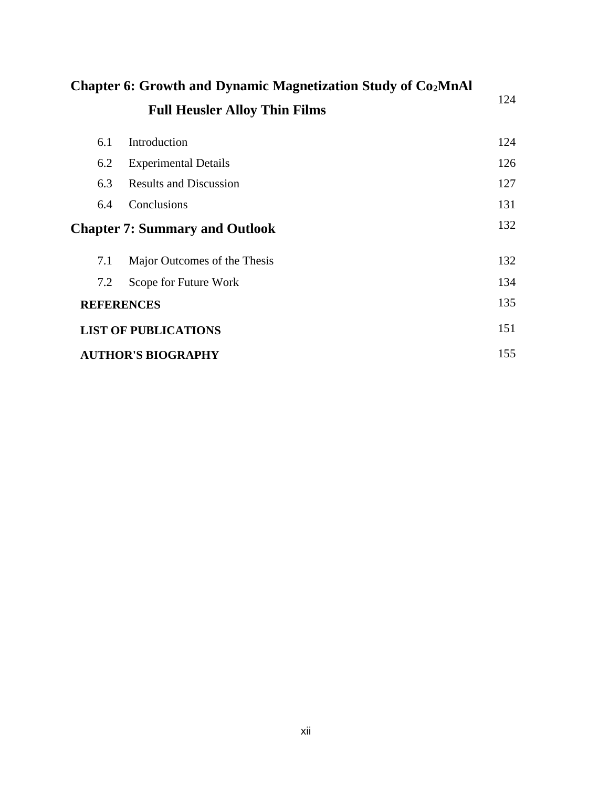| <b>Chapter 6: Growth and Dynamic Magnetization Study of Co<sub>2</sub>MnAl</b> |                                       |     |
|--------------------------------------------------------------------------------|---------------------------------------|-----|
|                                                                                | <b>Full Heusler Alloy Thin Films</b>  | 124 |
| 6.1                                                                            | Introduction                          | 124 |
| 6.2                                                                            | <b>Experimental Details</b>           | 126 |
| 6.3                                                                            | <b>Results and Discussion</b>         | 127 |
| 6.4                                                                            | Conclusions                           | 131 |
|                                                                                | <b>Chapter 7: Summary and Outlook</b> | 132 |
| 7.1                                                                            | Major Outcomes of the Thesis          | 132 |
| 7.2                                                                            | Scope for Future Work                 | 134 |
| <b>REFERENCES</b>                                                              |                                       | 135 |
|                                                                                | <b>LIST OF PUBLICATIONS</b>           | 151 |
|                                                                                | <b>AUTHOR'S BIOGRAPHY</b>             | 155 |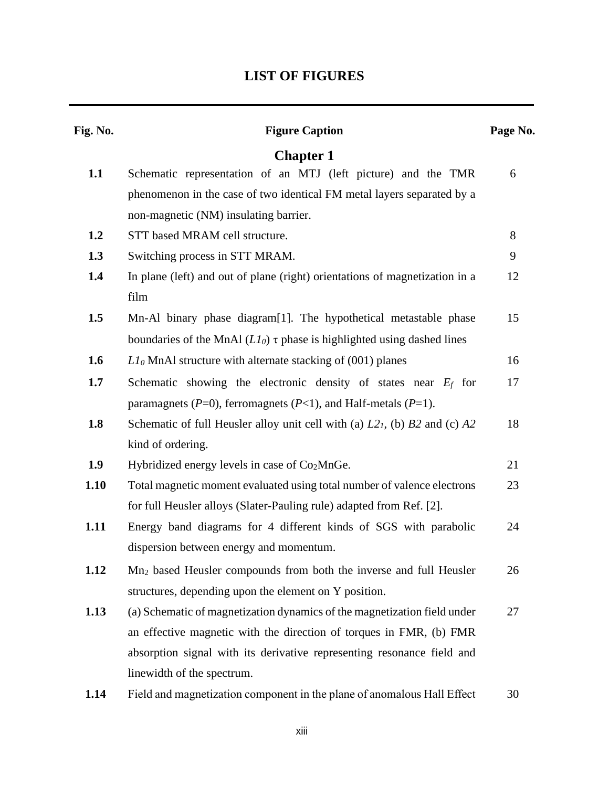# **LIST OF FIGURES**

| Fig. No. | <b>Figure Caption</b>                                                          | Page No. |
|----------|--------------------------------------------------------------------------------|----------|
|          | <b>Chapter 1</b>                                                               |          |
| 1.1      | Schematic representation of an MTJ (left picture) and the TMR                  | 6        |
|          | phenomenon in the case of two identical FM metal layers separated by a         |          |
|          | non-magnetic (NM) insulating barrier.                                          |          |
| 1.2      | STT based MRAM cell structure.                                                 | 8        |
| 1.3      | Switching process in STT MRAM.                                                 | 9        |
| 1.4      | In plane (left) and out of plane (right) orientations of magnetization in a    | 12       |
|          | film                                                                           |          |
| 1.5      | Mn-Al binary phase diagram[1]. The hypothetical metastable phase               | 15       |
|          | boundaries of the MnAl $(LI_0)$ $\tau$ phase is highlighted using dashed lines |          |
| 1.6      | $Ll_0$ MnAl structure with alternate stacking of (001) planes                  | 16       |
| 1.7      | Schematic showing the electronic density of states near $E_f$ for              | 17       |
|          | paramagnets ( $P=0$ ), ferromagnets ( $P<1$ ), and Half-metals ( $P=1$ ).      |          |
| 1.8      | Schematic of full Heusler alloy unit cell with (a) $L21$ , (b) B2 and (c) A2   | 18       |
|          | kind of ordering.                                                              |          |
| 1.9      | Hybridized energy levels in case of Co <sub>2</sub> MnGe.                      | 21       |
| 1.10     | Total magnetic moment evaluated using total number of valence electrons        | 23       |
|          | for full Heusler alloys (Slater-Pauling rule) adapted from Ref. [2].           |          |
| 1.11     | Energy band diagrams for 4 different kinds of SGS with parabolic               | 24       |
|          | dispersion between energy and momentum.                                        |          |
| 1.12     | Mn <sub>2</sub> based Heusler compounds from both the inverse and full Heusler | 26       |
|          | structures, depending upon the element on Y position.                          |          |
| 1.13     | (a) Schematic of magnetization dynamics of the magnetization field under       | 27       |
|          | an effective magnetic with the direction of torques in FMR, (b) FMR            |          |
|          | absorption signal with its derivative representing resonance field and         |          |
|          | linewidth of the spectrum.                                                     |          |
| 1.14     | Field and magnetization component in the plane of anomalous Hall Effect        | 30       |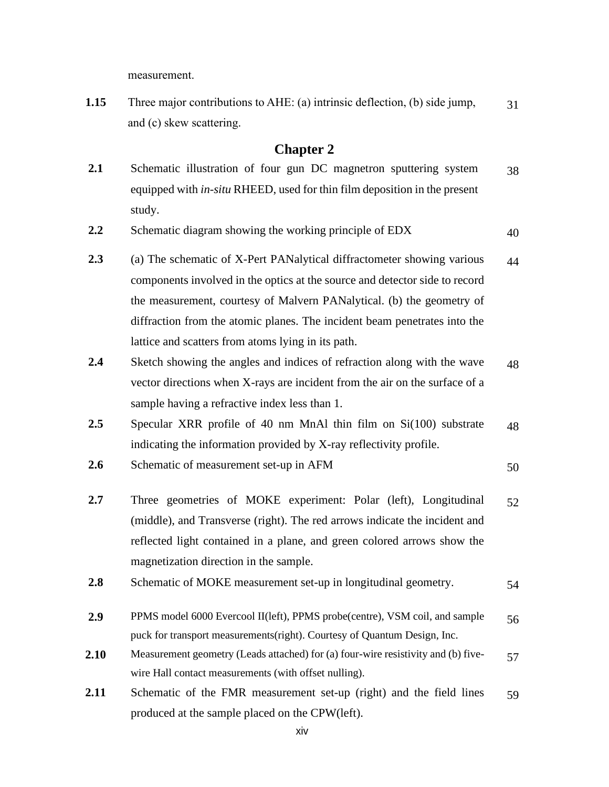measurement.

**1.15** Three major contributions to AHE: (a) intrinsic deflection, (b) side jump, and (c) skew scattering. 31

- 2.1 Schematic illustration of four gun DC magnetron sputtering system equipped with *in-situ* RHEED, used for thin film deposition in the present study. 38
- **2.2** Schematic diagram showing the working principle of EDX 40
- **2.3** (a) The schematic of X-Pert PANalytical diffractometer showing various components involved in the optics at the source and detector side to record the measurement, courtesy of Malvern PANalytical. (b) the geometry of diffraction from the atomic planes. The incident beam penetrates into the lattice and scatters from atoms lying in its path. 44
- **2.4** Sketch showing the angles and indices of refraction along with the wave vector directions when X-rays are incident from the air on the surface of a sample having a refractive index less than 1. 48
- **2.5** Specular XRR profile of 40 nm MnAl thin film on Si(100) substrate indicating the information provided by X-ray reflectivity profile. 48
- **2.6** Schematic of measurement set-up in AFM 50
- **2.7** Three geometries of MOKE experiment: Polar (left), Longitudinal (middle), and Transverse (right). The red arrows indicate the incident and reflected light contained in a plane, and green colored arrows show the magnetization direction in the sample. 52
- **2.8** Schematic of MOKE measurement set-up in longitudinal geometry. 54
- **2.9** PPMS model 6000 Evercool II(left), PPMS probe(centre), VSM coil, and sample puck for transport measurements(right). Courtesy of Quantum Design, Inc. 56
- **2.10** Measurement geometry (Leads attached) for (a) four-wire resistivity and (b) fivewire Hall contact measurements (with offset nulling). 57
- **2.11** Schematic of the FMR measurement set-up (right) and the field lines produced at the sample placed on the CPW(left). 59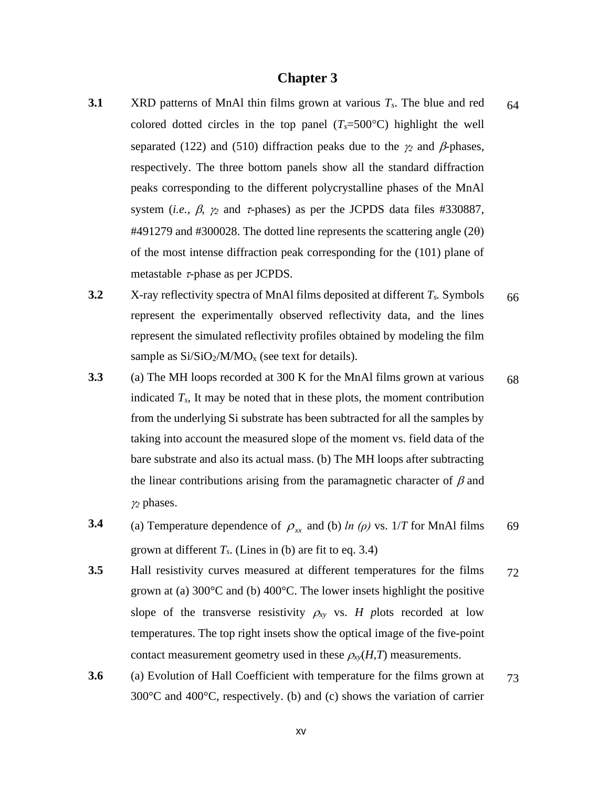## **Chapter 3**

- **3.1** XRD patterns of MnAl thin films grown at various *Ts*. The blue and red colored dotted circles in the top panel  $(T_s=500^{\circ}C)$  highlight the well separated (122) and (510) diffraction peaks due to the  $\gamma_2$  and  $\beta$ -phases, respectively. The three bottom panels show all the standard diffraction peaks corresponding to the different polycrystalline phases of the MnAl system (*i.e.*,  $\beta$ ,  $\gamma_2$  and  $\tau$ -phases) as per the JCPDS data files #330887,  $\#491279$  and  $\#300028$ . The dotted line represents the scattering angle (2 $\theta$ ) of the most intense diffraction peak corresponding for the (101) plane of metastable  $\tau$ -phase as per JCPDS. 64
- **3.2** X-ray reflectivity spectra of MnAl films deposited at different *Ts.* Symbols represent the experimentally observed reflectivity data, and the lines represent the simulated reflectivity profiles obtained by modeling the film sample as  $Si/SiO<sub>2</sub>/M/MO<sub>x</sub>$  (see text for details). 66
- **3.3** (a) The MH loops recorded at 300 K for the MnAl films grown at various indicated  $T_s$ , It may be noted that in these plots, the moment contribution from the underlying Si substrate has been subtracted for all the samples by taking into account the measured slope of the moment vs. field data of the bare substrate and also its actual mass. (b) The MH loops after subtracting the linear contributions arising from the paramagnetic character of  $\beta$  and *<sup>2</sup>* phases. 68
- **3.4** (a) Temperature dependence of  $\rho_{xx}$  and (b) *ln (* $\rho$ *)* vs. 1/*T* for MnAl films grown at different  $T_s$ . (Lines in (b) are fit to eq. 3.4) 69
- **3.5** Hall resistivity curves measured at different temperatures for the films grown at (a) 300°C and (b) 400°C. The lower insets highlight the positive slope of the transverse resistivity  $\rho_{xy}$  vs. *H* plots recorded at low temperatures. The top right insets show the optical image of the five-point contact measurement geometry used in these  $\rho_{xy}(H,T)$  measurements. 72
- **3.6** (a) Evolution of Hall Coefficient with temperature for the films grown at 300°C and 400°C, respectively. (b) and (c) shows the variation of carrier 73

xv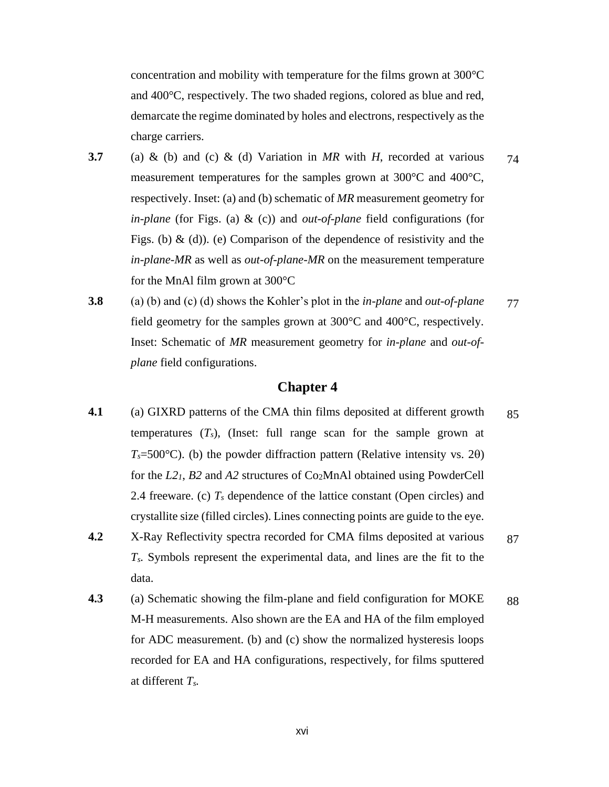concentration and mobility with temperature for the films grown at 300°C and 400°C, respectively. The two shaded regions, colored as blue and red, demarcate the regime dominated by holes and electrons, respectively as the charge carriers.

- **3.7** (a) & (b) and (c) & (d) Variation in *MR* with *H*, recorded at various measurement temperatures for the samples grown at 300°C and 400°C, respectively. Inset: (a) and (b) schematic of *MR* measurement geometry for *in-plane* (for Figs. (a) & (c)) and *out-of-plane* field configurations (for Figs. (b)  $\&$  (d)). (e) Comparison of the dependence of resistivity and the *in-plane-MR* as well as *out-of-plane-MR* on the measurement temperature for the MnAl film grown at 300°C 74
- **3.8** (a) (b) and (c) (d) shows the Kohler's plot in the *in-plane* and *out-of-plane* field geometry for the samples grown at 300°C and 400°C, respectively. Inset: Schematic of *MR* measurement geometry for *in-plane* and *out-ofplane* field configurations. 77

- **4.1** (a) GIXRD patterns of the CMA thin films deposited at different growth temperatures  $(T_s)$ , (Inset: full range scan for the sample grown at  $T_s = 500$ °C). (b) the powder diffraction pattern (Relative intensity vs. 20) for the *L21*, *B2* and *A2* structures of Co2MnAl obtained using PowderCell 2.4 freeware. (c)  $T_s$  dependence of the lattice constant (Open circles) and crystallite size (filled circles). Lines connecting points are guide to the eye. 85
- **4.2** X-Ray Reflectivity spectra recorded for CMA films deposited at various *Ts.* Symbols represent the experimental data, and lines are the fit to the data. 87
- **4.3** (a) Schematic showing the film-plane and field configuration for MOKE M-H measurements. Also shown are the EA and HA of the film employed for ADC measurement. (b) and (c) show the normalized hysteresis loops recorded for EA and HA configurations, respectively, for films sputtered at different *Ts.* 88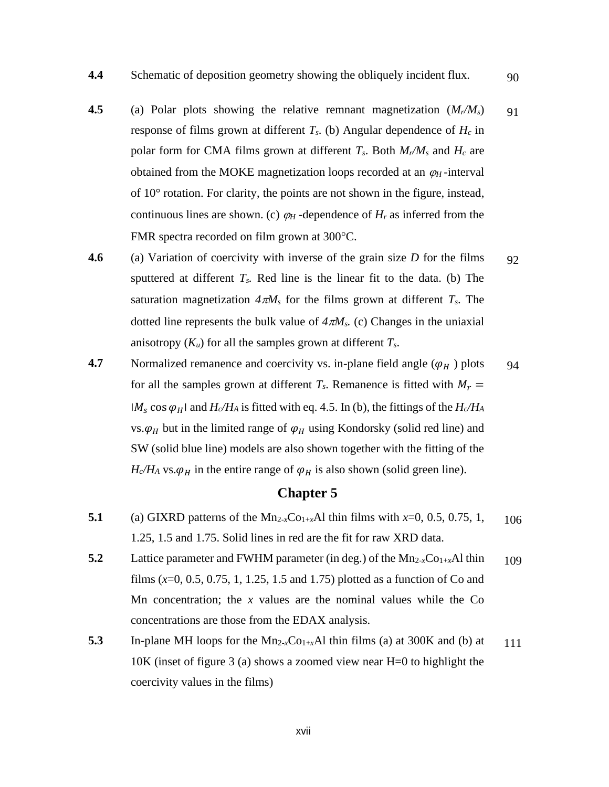- **4.5** (a) Polar plots showing the relative remnant magnetization (*Mr/Ms*) response of films grown at different *Ts*. (b) Angular dependence of *H<sup>c</sup>* in polar form for CMA films grown at different  $T_s$ . Both  $M_r/M_s$  and  $H_c$  are obtained from the MOKE magnetization loops recorded at an  $\varphi_H$ -interval of 10° rotation. For clarity, the points are not shown in the figure, instead, continuous lines are shown. (c)  $\varphi_H$ -dependence of  $H_r$  as inferred from the FMR spectra recorded on film grown at 300°C. 91
- **4.6** (a) Variation of coercivity with inverse of the grain size *D* for the films sputtered at different  $T_s$ . Red line is the linear fit to the data. (b) The saturation magnetization  $4\pi M_s$  for the films grown at different  $T_s$ . The dotted line represents the bulk value of  $4\pi M_s$ . (c) Changes in the uniaxial anisotropy  $(K_u)$  for all the samples grown at different  $T_s$ . 92
- **4.7** Normalized remanence and coercivity vs. in-plane field angle  $(\varphi_H)$  plots for all the samples grown at different  $T_s$ . Remanence is fitted with  $M_r =$  $|M_s \cos \varphi_H|$  and  $H_c/H_A$  is fitted with eq. 4.5. In (b), the fittings of the  $H_c/H_A$ vs.  $\varphi_H$  but in the limited range of  $\varphi_H$  using Kondorsky (solid red line) and SW (solid blue line) models are also shown together with the fitting of the  $H_c/H_A$  vs.  $\varphi_H$  in the entire range of  $\varphi_H$  is also shown (solid green line). 94

- **5.1** (a) GIXRD patterns of the Mn<sub>2-*x*</sub>Co<sub>1+*x*</sub>Al thin films with *x*=0, 0.5, 0.75, 1, 1.25, 1.5 and 1.75. Solid lines in red are the fit for raw XRD data. 106
- **5.2** Lattice parameter and FWHM parameter (in deg.) of the  $Mn_{2-x}Co_{1+x}Al$  thin films (*x*=0, 0.5, 0.75, 1, 1.25, 1.5 and 1.75) plotted as a function of Co and Mn concentration; the *x* values are the nominal values while the Co concentrations are those from the EDAX analysis. 109
- **5.3** In-plane MH loops for the  $Mn_{2-x}Co_{1+x}Al$  thin films (a) at 300K and (b) at 10K (inset of figure 3 (a) shows a zoomed view near H=0 to highlight the coercivity values in the films) 111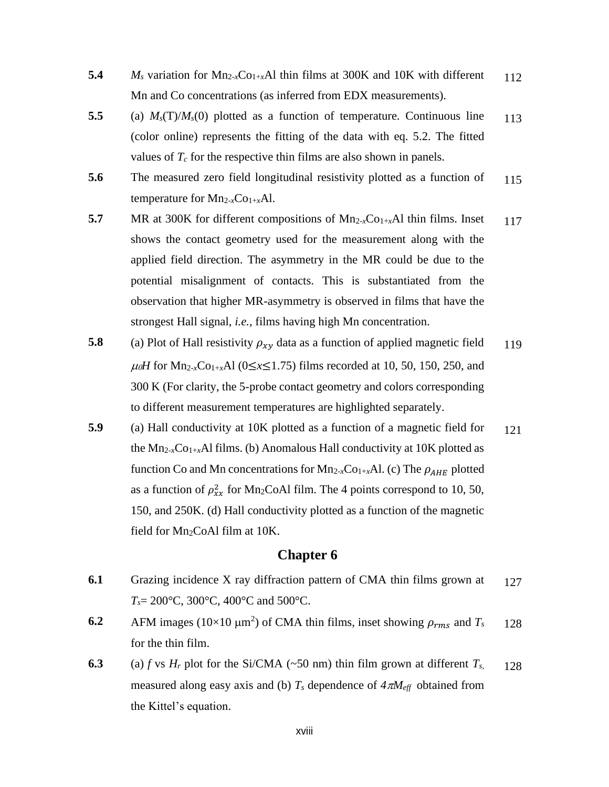- **5.4** *M<sub>s</sub>* variation for  $Mn_{2-x}Co_{1+x}Al$  thin films at 300K and 10K with different Mn and Co concentrations (as inferred from EDX measurements). 112
- **5.5** (a) *Ms*(T)/*Ms*(0) plotted as a function of temperature. Continuous line (color online) represents the fitting of the data with eq. 5.2. The fitted values of  $T_c$  for the respective thin films are also shown in panels. 113
- **5.6** The measured zero field longitudinal resistivity plotted as a function of temperature for  $Mn_{2-x}Co_{1+x}Al$ . 115
- **5.7** MR at 300K for different compositions of  $Mn_{2-x}Co_{1+x}Al$  thin films. Inset shows the contact geometry used for the measurement along with the applied field direction. The asymmetry in the MR could be due to the potential misalignment of contacts. This is substantiated from the observation that higher MR-asymmetry is observed in films that have the strongest Hall signal, *i.e.,* films having high Mn concentration. 117
- **5.8** (a) Plot of Hall resistivity  $\rho_{xy}$  data as a function of applied magnetic field  $\mu_0H$  for Mn<sub>2-*x*</sub>Co<sub>1+*x*</sub>Al (0≤*x*≤1.75) films recorded at 10, 50, 150, 250, and 300 K (For clarity, the 5-probe contact geometry and colors corresponding to different measurement temperatures are highlighted separately. 119
- **5.9** (a) Hall conductivity at 10K plotted as a function of a magnetic field for the  $Mn_{2-x}Co_{1+x}Al$  films. (b) Anomalous Hall conductivity at 10K plotted as function Co and Mn concentrations for  $Mn_{2-x}Co_{1+x}Al$ . (c) The  $\rho_{AHE}$  plotted as a function of  $\rho_{xx}^2$  for Mn<sub>2</sub>CoAl film. The 4 points correspond to 10, 50, 150, and 250K. (d) Hall conductivity plotted as a function of the magnetic field for Mn<sub>2</sub>CoAl film at 10K. 121

- **6.1** Grazing incidence X ray diffraction pattern of CMA thin films grown at *Ts*= 200°C, 300°C, 400°C and 500°C. 127
- **6.2** AFM images ( $10 \times 10 \mu m^2$ ) of CMA thin films, inset showing  $\rho_{rms}$  and  $T_s$ for the thin film. 128
- **6.3** (a) *f* vs  $H_r$  plot for the Si/CMA (~50 nm) thin film grown at different  $T_s$ , measured along easy axis and (b)  $T_s$  dependence of  $4\pi M_{\text{eff}}$  obtained from the Kittel's equation. 128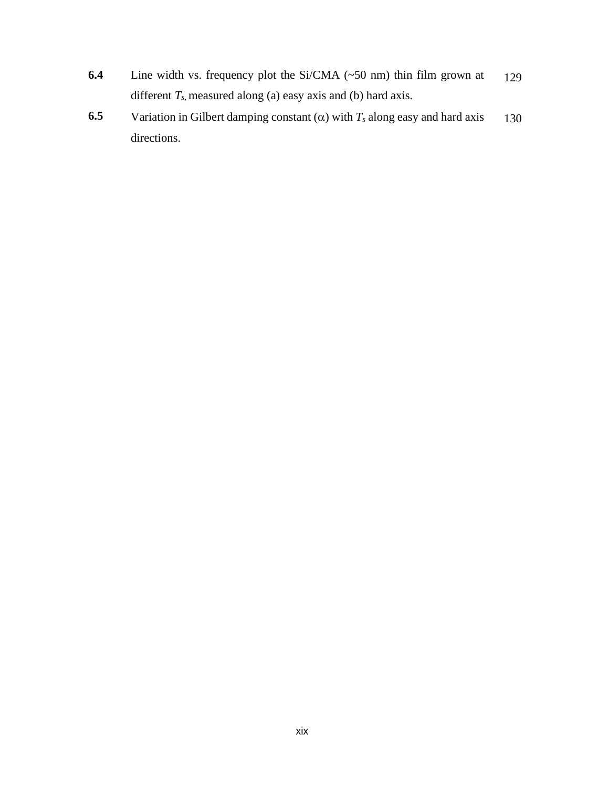- **6.4** Line width vs. frequency plot the Si/CMA (~50 nm) thin film grown at different  $T_s$ , measured along (a) easy axis and (b) hard axis. 129
- **6.5** Variation in Gilbert damping constant  $(\alpha)$  with  $T_s$  along easy and hard axis directions. 130